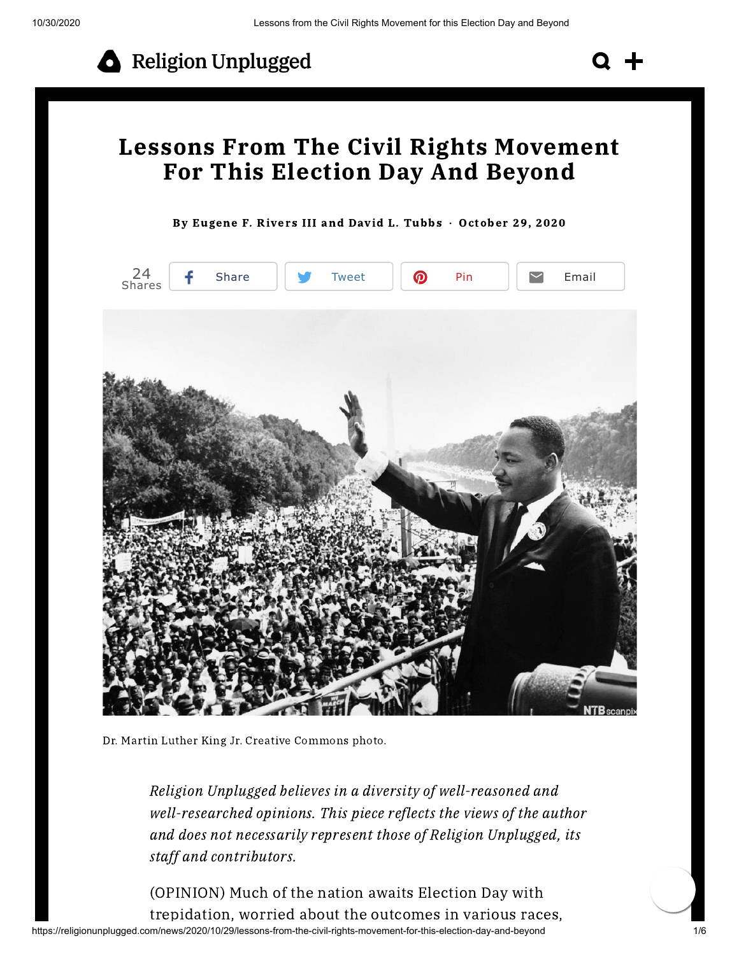

## Lessons From The Civil Rights Movement For This Election Day And Beyond

By [Eugene](https://religionunplugged.com/news?author=5f9acbc4a6100b106f1dbf88) F. Rivers III and David L. Tubbs · October 29, 2020



Dr. Martin Luther King Jr. Creative Commons photo.

Religion Unplugged believes in a diversity of well-reasoned and well-researched opinions. This piece reflects the views of the author and does not necessarily represent those of Religion Unplugged, its staff and contributors.

https://religionunplugged.com/news/2020/10/29/lessons-from-the-civil-rights-movement-for-this-election-day-and-beyond 1/6 (OPINION) Much of the nation awaits Election Day with trepidation, worried about the outcomes in various races,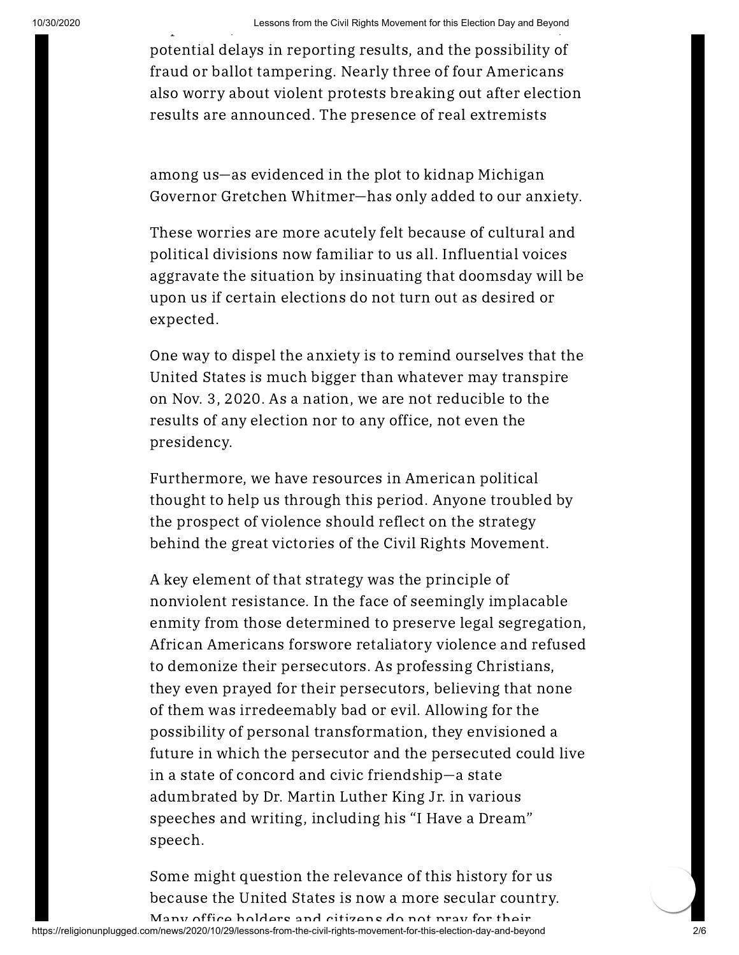potential delays in reporting results, and the possibility of fraud or ballot tampering. Nearly three of four Americans also worry about violent protests breaking out after election results are announced. The presence of real extremists

among us—as evidenced in the plot to kidnap Michigan Governor Gretchen Whitmer—has only added to our anxiety.

These worries are more acutely felt because of cultural and political divisions now familiar to us all. Influential voices aggravate the situation by insinuating that doomsday will be upon us if certain elections do not turn out as desired or expected.

One way to dispel the anxiety is to remind ourselves that the United States is much bigger than whatever may transpire on Nov. 3, 2020. As a nation, we are not reducible to the results of any election nor to any office, not even the presidency.

Furthermore, we have resources in American political thought to help us through this period. Anyone troubled by the prospect of violence should reflect on the strategy behind the great victories of the Civil Rights Movement.

A key element of that strategy was the principle of nonviolent resistance. In the face of seemingly implacable enmity from those determined to preserve legal segregation, African Americans forswore retaliatory violence and refused to demonize their persecutors. As professing Christians, they even prayed for their persecutors, believing that none of them was irredeemably bad or evil. Allowing for the possibility of personal transformation, they envisioned a future in which the persecutor and the persecuted could live in a state of concord and civic friendship—a state adumbrated by Dr. Martin Luther King Jr. in various speeches and writing, including his "I Have a Dream" speech.

Some might question the relevance of this history for us because the United States is now a more secular country.

https://religionunplugged.com/news/2020/10/29/lessons-from-the-civil-rights-movement-for-this-election-day-and-beyond 2/6 Many office holders and citizens do not pray for their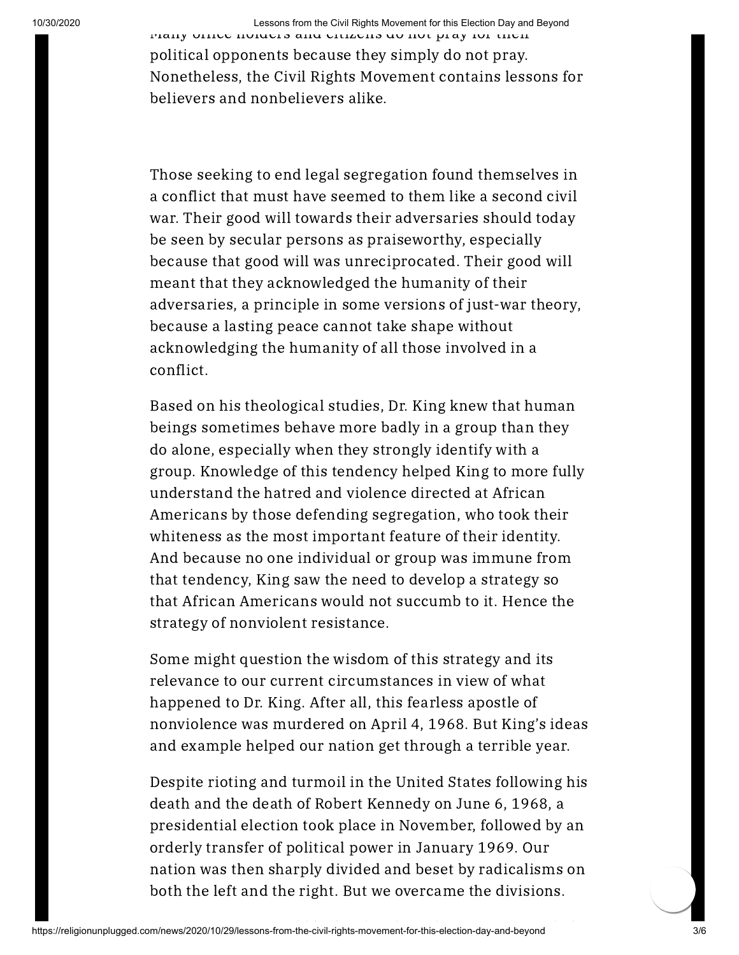10/30/2020 Lessons from the Civil Rights Movement for this Election Day and Beyond

Many office holders and citizens do not pray for their political opponents because they simply do not pray. Nonetheless, the Civil Rights Movement contains lessons for believers and nonbelievers alike.

Those seeking to end legal segregation found themselves in a conflict that must have seemed to them like a second civil war. Their good will towards their adversaries should today be seen by secular persons as praiseworthy, especially because that good will was unreciprocated. Their good will meant that they acknowledged the humanity of their adversaries, a principle in some versions of just-war theory, because a lasting peace cannot take shape without acknowledging the humanity of all those involved in a conflict.

Based on his theological studies, Dr. King knew that human beings sometimes behave more badly in a group than they do alone, especially when they strongly identify with a group. Knowledge of this tendency helped King to more fully understand the hatred and violence directed at African Americans by those defending segregation, who took their whiteness as the most important feature of their identity. And because no one individual or group was immune from that tendency, King saw the need to develop a strategy so that African Americans would not succumb to it. Hence the strategy of nonviolent resistance.

Some might question the wisdom of this strategy and its relevance to our current circumstances in view of what happened to Dr. King. After all, this fearless apostle of nonviolence was murdered on April 4, 1968. But King's ideas and example helped our nation get through a terrible year.

Despite rioting and turmoil in the United States following his death and the death of Robert Kennedy on June 6, 1968, a presidential election took place in November, followed by an orderly transfer of political power in January 1969. Our nation was then sharply divided and beset by radicalisms on both the left and the right. But we overcame the divisions.